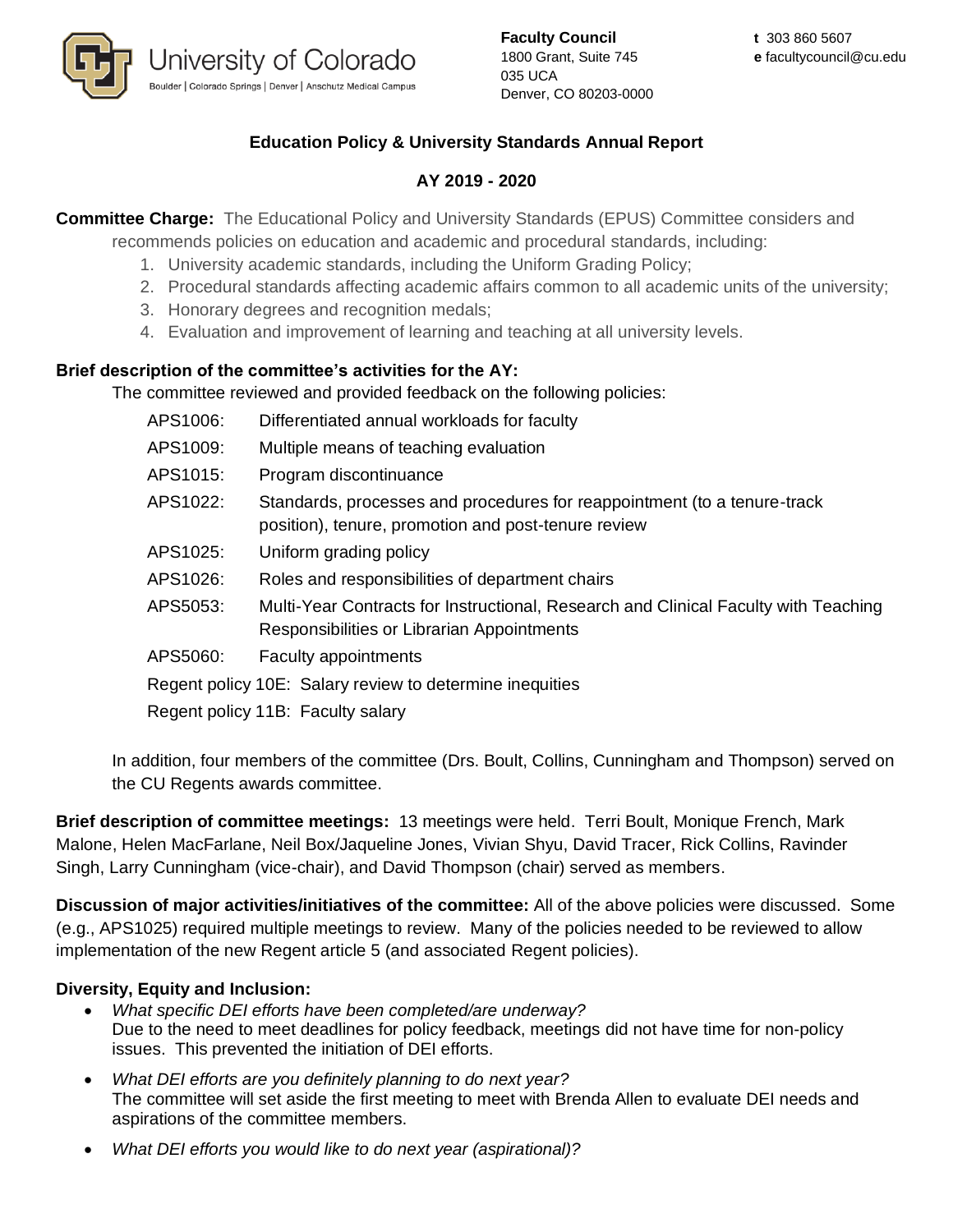

**Faculty Council** 1800 Grant, Suite 745 035 UCA Denver, CO 80203-0000

# **Education Policy & University Standards Annual Report**

# **AY 2019 - 2020**

**Committee Charge:** The Educational Policy and University Standards (EPUS) Committee considers and recommends policies on education and academic and procedural standards, including:

- 1. University academic standards, including the Uniform Grading Policy;
- 2. Procedural standards affecting academic affairs common to all academic units of the university;
- 3. Honorary degrees and recognition medals;
- 4. Evaluation and improvement of learning and teaching at all university levels.

## **Brief description of the committee's activities for the AY:**

The committee reviewed and provided feedback on the following policies:

| APS1006:                                                 | Differentiated annual workloads for faculty                                                                                       |
|----------------------------------------------------------|-----------------------------------------------------------------------------------------------------------------------------------|
| APS1009:                                                 | Multiple means of teaching evaluation                                                                                             |
| APS1015:                                                 | Program discontinuance                                                                                                            |
| APS1022:                                                 | Standards, processes and procedures for reappointment (to a tenure-track<br>position), tenure, promotion and post-tenure review   |
| APS1025:                                                 | Uniform grading policy                                                                                                            |
| APS1026:                                                 | Roles and responsibilities of department chairs                                                                                   |
| APS5053:                                                 | Multi-Year Contracts for Instructional, Research and Clinical Faculty with Teaching<br>Responsibilities or Librarian Appointments |
| APS5060:                                                 | <b>Faculty appointments</b>                                                                                                       |
| Regent policy 10E: Salary review to determine inequities |                                                                                                                                   |
| Regent policy 11B: Faculty salary                        |                                                                                                                                   |

In addition, four members of the committee (Drs. Boult, Collins, Cunningham and Thompson) served on the CU Regents awards committee.

**Brief description of committee meetings:** 13 meetings were held. Terri Boult, Monique French, Mark Malone, Helen MacFarlane, Neil Box/Jaqueline Jones, Vivian Shyu, David Tracer, Rick Collins, Ravinder Singh, Larry Cunningham (vice-chair), and David Thompson (chair) served as members.

**Discussion of major activities/initiatives of the committee:** All of the above policies were discussed. Some (e.g., APS1025) required multiple meetings to review. Many of the policies needed to be reviewed to allow implementation of the new Regent article 5 (and associated Regent policies).

### **Diversity, Equity and Inclusion:**

- *What specific DEI efforts have been completed/are underway?* Due to the need to meet deadlines for policy feedback, meetings did not have time for non-policy issues. This prevented the initiation of DEI efforts.
- *What DEI efforts are you definitely planning to do next year?* The committee will set aside the first meeting to meet with Brenda Allen to evaluate DEI needs and aspirations of the committee members.
- *What DEI efforts you would like to do next year (aspirational)?*